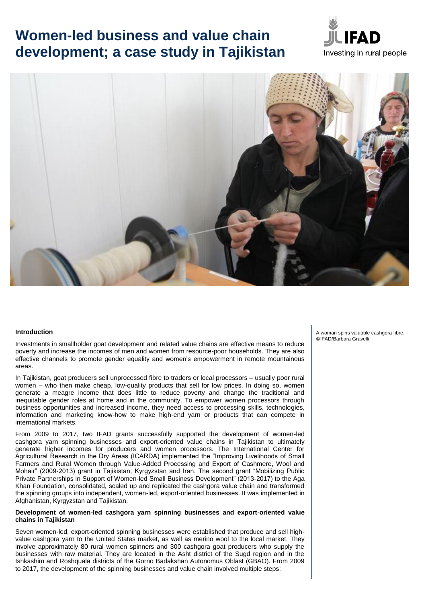# **Women-led business and value chain development; a case study in Tajikistan**





#### **Introduction**

Investments in smallholder goat development and related value chains are effective means to reduce poverty and increase the incomes of men and women from resource-poor households. They are also effective channels to promote gender equality and women's empowerment in remote mountainous areas.

In Tajikistan, goat producers sell unprocessed fibre to traders or local processors – usually poor rural women – who then make cheap, low-quality products that sell for low prices. In doing so, women generate a meagre income that does little to reduce poverty and change the traditional and inequitable gender roles at home and in the community. To empower women processors through business opportunities and increased income, they need access to processing skills, technologies, information and marketing know-how to make high-end yarn or products that can compete in international markets.

From 2009 to 2017, two IFAD grants successfully supported the development of women-led cashgora yarn spinning businesses and export-oriented value chains in Tajikistan to ultimately generate higher incomes for producers and women processors. The International Center for Agricultural Research in the Dry Areas (ICARDA) implemented the "Improving Livelihoods of Small Farmers and Rural Women through Value-Added Processing and Export of Cashmere, Wool and Mohair" (2009-2013) grant in Tajikistan, Kyrgyzstan and Iran. The second grant "Mobilizing Public Private Partnerships in Support of Women-led Small Business Development" (2013-2017) to the Aga Khan Foundation, consolidated, scaled up and replicated the cashgora value chain and transformed the spinning groups into independent, women-led, export-oriented businesses. It was implemented in Afghanistan, Kyrgyzstan and Tajikistan.

#### **Development of women-led cashgora yarn spinning businesses and export-oriented value chains in Tajikistan**

Seven women-led, export-oriented spinning businesses were established that produce and sell highvalue cashgora yarn to the United States market, as well as merino wool to the local market. They involve approximately 80 rural women spinners and 300 cashgora goat producers who supply the businesses with raw material. They are located in the Asht district of the Sugd region and in the Ishkashim and Roshquala districts of the Gorno Badakshan Autonomus Oblast (GBAO). From 2009 to 2017, the development of the spinning businesses and value chain involved multiple steps:

A woman spins valuable cashgora fibre. ©IFAD/Barbara Gravelli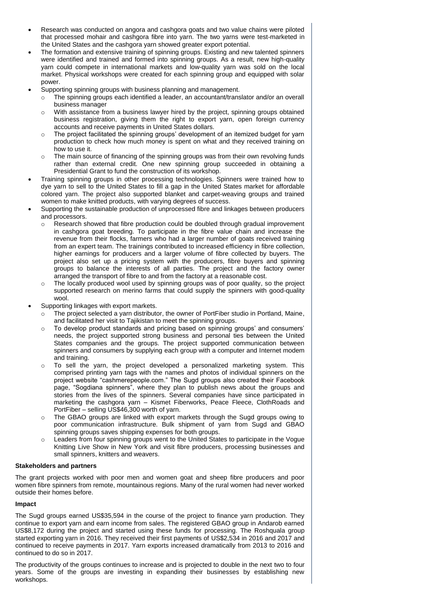- Research was conducted on angora and cashgora goats and two value chains were piloted that processed mohair and cashgora fibre into yarn. The two yarns were test-marketed in the United States and the cashgora yarn showed greater export potential.
- The formation and extensive training of spinning groups. Existing and new talented spinners were identified and trained and formed into spinning groups. As a result, new high-quality yarn could compete in international markets and low-quality yarn was sold on the local market. Physical workshops were created for each spinning group and equipped with solar power.
- Supporting spinning groups with business planning and management.
	- o The spinning groups each identified a leader, an accountant/translator and/or an overall business manager
	- $\circ$  With assistance from a business lawyer hired by the project, spinning groups obtained business registration, giving them the right to export yarn, open foreign currency accounts and receive payments in United States dollars.
	- o The project facilitated the spinning groups' development of an itemized budget for yarn production to check how much money is spent on what and they received training on how to use it.
	- $\circ$  The main source of financing of the spinning groups was from their own revolving funds rather than external credit. One new spinning group succeeded in obtaining a Presidential Grant to fund the construction of its workshop.
- Training spinning groups in other processing technologies. Spinners were trained how to dye yarn to sell to the United States to fill a gap in the United States market for affordable colored yarn. The project also supported blanket and carpet-weaving groups and trained women to make knitted products, with varying degrees of success.
- Supporting the sustainable production of unprocessed fibre and linkages between producers and processors.
	- $\circ$  Research showed that fibre production could be doubled through gradual improvement in cashgora goat breeding. To participate in the fibre value chain and increase the revenue from their flocks, farmers who had a larger number of goats received training from an expert team. The trainings contributed to increased efficiency in fibre collection, higher earnings for producers and a larger volume of fibre collected by buyers. The project also set up a pricing system with the producers, fibre buyers and spinning groups to balance the interests of all parties. The project and the factory owner arranged the transport of fibre to and from the factory at a reasonable cost.
	- o The locally produced wool used by spinning groups was of poor quality, so the project supported research on merino farms that could supply the spinners with good-quality wool.
- Supporting linkages with export markets.
	- $\circ$  The project selected a yarn distributor, the owner of PortFiber studio in Portland, Maine, and facilitated her visit to Tajikistan to meet the spinning groups.
	- $\circ$  To develop product standards and pricing based on spinning groups' and consumers' needs, the project supported strong business and personal ties between the United States companies and the groups. The project supported communication between spinners and consumers by supplying each group with a computer and Internet modem and training.
	- $\circ$  To sell the yarn, the project developed a personalized marketing system. This comprised printing yarn tags with the names and photos of individual spinners on the project website "cashmerepeople.com." The Sugd groups also created their Facebook page, "Sogdiana spinners", where they plan to publish news about the groups and stories from the lives of the spinners. Several companies have since participated in marketing the cashgora yarn – Kismet Fiberworks, Peace Fleece, ClothRoads and PortFiber – selling US\$46,300 worth of yarn.
	- o The GBAO groups are linked with export markets through the Sugd groups owing to poor communication infrastructure. Bulk shipment of yarn from Sugd and GBAO spinning groups saves shipping expenses for both groups.
	- o Leaders from four spinning groups went to the United States to participate in the Vogue Knitting Live Show in New York and visit fibre producers, processing businesses and small spinners, knitters and weavers.

## **Stakeholders and partners**

The grant projects worked with poor men and women goat and sheep fibre producers and poor women fibre spinners from remote, mountainous regions. Many of the rural women had never worked outside their homes before.

## **Impact**

The Sugd groups earned US\$35,594 in the course of the project to finance yarn production. They continue to export yarn and earn income from sales. The registered GBAO group in Andarob earned US\$8,172 during the project and started using these funds for processing. The Roshquala group started exporting yarn in 2016. They received their first payments of US\$2,534 in 2016 and 2017 and continued to receive payments in 2017. Yarn exports increased dramatically from 2013 to 2016 and continued to do so in 2017.

The productivity of the groups continues to increase and is projected to double in the next two to four years. Some of the groups are investing in expanding their businesses by establishing new workshops.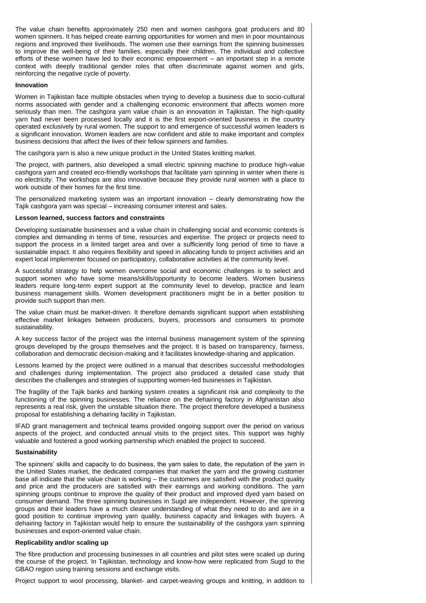The value chain benefits approximately 250 men and women cashgora goat producers and 80 women spinners. It has helped create earning opportunities for women and men in poor mountainous regions and improved their livelihoods. The women use their earnings from the spinning businesses to improve the well-being of their families, especially their children. The individual and collective efforts of these women have led to their economic empowerment – an important step in a remote context with deeply traditional gender roles that often discriminate against women and girls, reinforcing the negative cycle of poverty.

#### **Innovation**

Women in Tajikistan face multiple obstacles when trying to develop a business due to socio-cultural norms associated with gender and a challenging economic environment that affects women more seriously than men. The cashgora yarn value chain is an innovation in Tajikistan. The high-quality yarn had never been processed locally and it is the first export-oriented business in the country operated exclusively by rural women. The support to and emergence of successful women leaders is a significant innovation. Women leaders are now confident and able to make important and complex business decisions that affect the lives of their fellow spinners and families.

The cashgora yarn is also a new unique product in the United States knitting market.

The project, with partners, also developed a small electric spinning machine to produce high-value cashgora yarn and created eco-friendly workshops that facilitate yarn spinning in winter when there is no electricity. The workshops are also innovative because they provide rural women with a place to work outside of their homes for the first time.

The personalized marketing system was an important innovation – clearly demonstrating how the Tajik cashgora yarn was special – increasing consumer interest and sales.

### **Lesson learned, success factors and constraints**

Developing sustainable businesses and a value chain in challenging social and economic contexts is complex and demanding in terms of time, resources and expertise. The project or projects need to support the process in a limited target area and over a sufficiently long period of time to have a sustainable impact. It also requires flexibility and speed in allocating funds to project activities and an expert local implementer focused on participatory, collaborative activities at the community level.

A successful strategy to help women overcome social and economic challenges is to select and support women who have some means/skills/opportunity to become leaders. Women business leaders require long-term expert support at the community level to develop, practice and learn business management skills. Women development practitioners might be in a better position to provide such support than men.

The value chain must be market-driven. It therefore demands significant support when establishing effective market linkages between producers, buyers, processors and consumers to promote sustainability.

A key success factor of the project was the internal business management system of the spinning groups developed by the groups themselves and the project. It is based on transparency, fairness, collaboration and democratic decision-making and it facilitates knowledge-sharing and application.

Lessons learned by the project were outlined in a manual that describes successful methodologies and challenges during implementation. The project also produced a detailed case study that describes the challenges and strategies of supporting women-led businesses in Tajikistan.

The fragility of the Tajik banks and banking system creates a significant risk and complexity to the functioning of the spinning businesses. The reliance on the dehairing factory in Afghanistan also represents a real risk, given the unstable situation there. The project therefore developed a business proposal for establishing a dehairing facility in Tajikistan.

IFAD grant management and technical teams provided ongoing support over the period on various aspects of the project, and conducted annual visits to the project sites. This support was highly valuable and fostered a good working partnership which enabled the project to succeed.

### **Sustainability**

The spinners' skills and capacity to do business, the yarn sales to date, the reputation of the yarn in the United States market, the dedicated companies that market the yarn and the growing customer base all indicate that the value chain is working – the customers are satisfied with the product quality and price and the producers are satisfied with their earnings and working conditions. The yarn spinning groups continue to improve the quality of their product and improved dyed yarn based on consumer demand. The three spinning businesses in Sugd are independent. However, the spinning groups and their leaders have a much clearer understanding of what they need to do and are in a good position to continue improving yarn quality, business capacity and linkages with buyers. A dehairing factory in Tajikistan would help to ensure the sustainability of the cashgora yarn spinning businesses and export-oriented value chain.

### **Replicability and/or scaling up**

The fibre production and processing businesses in all countries and pilot sites were scaled up during the course of the project. In Tajikistan, technology and know-how were replicated from Sugd to the GBAO region using training sessions and exchange visits.

Project support to wool processing, blanket- and carpet-weaving groups and knitting, in addition to